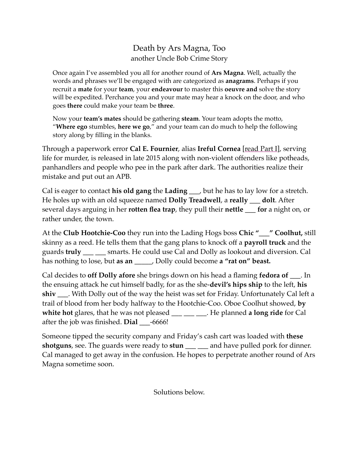## Death by Ars Magna, Too another Uncle Bob Crime Story

Once again I've assembled you all for another round of **Ars Magna**. Well, actually the words and phrases we'll be engaged with are categorized as **anagrams**. Perhaps if you recruit a **mate** for your **team**, your **endeavour** to master this **oeuvre and** solve the story will be expedited. Perchance you and your mate may hear a knock on the door, and who goes **there** could make your team be **three**.

Now your **team's mates** should be gathering **steam**. Your team adopts the motto, "**Where ego** stumbles, **here we go**," and your team can do much to help the following story along by filling in the blanks.

Through a paperwork error **Cal E. Fournier**, alias **Ireful Cornea** [read Part I], serving life for murder, is released in late 2015 along with non-violent offenders like potheads, panhandlers and people who pee in the park after dark. The authorities realize their mistake and put out an APB.

Cal is eager to contact **his old gang** the **Lading \_\_\_**, but he has to lay low for a stretch. He holes up with an old squeeze named **Dolly Treadwell**, a **really \_\_\_ dolt**. After several days arguing in her **rotten flea trap**, they pull their **nettle \_\_\_ for** a night on, or rather under, the town.

At the **Club Hootchie-Coo** they run into the Lading Hogs boss **Chic "\_\_\_" Coolhut,** still skinny as a reed. He tells them that the gang plans to knock off a **payroll truck** and the guards **truly \_\_\_ \_\_\_** smarts. He could use Cal and Dolly as lookout and diversion. Cal has nothing to lose, but **as an** \_\_\_\_\_, Dolly could become **a "rat on" beast.**

Cal decides to **off Dolly afore** she brings down on his head a flaming **fedora of \_\_\_**. In the ensuing attack he cut himself badly, for as the she-**devil's hips ship** to the left, **his shiv \_\_\_**. With Dolly out of the way the heist was set for Friday. Unfortunately Cal left a trail of blood from her body halfway to the Hootchie-Coo. Oboe Coolhut showed, **by**  white hot glares, that he was not pleased \_\_\_ \_\_ \_\_. He planned **a long ride** for Cal after the job was finished. **Dial \_\_\_**-6666!

Someone tipped the security company and Friday's cash cart was loaded with **these shotguns**, see. The guards were ready to **stun \_\_\_ \_\_\_** and have pulled pork for dinner. Cal managed to get away in the confusion. He hopes to perpetrate another round of Ars Magna sometime soon.

Solutions below.